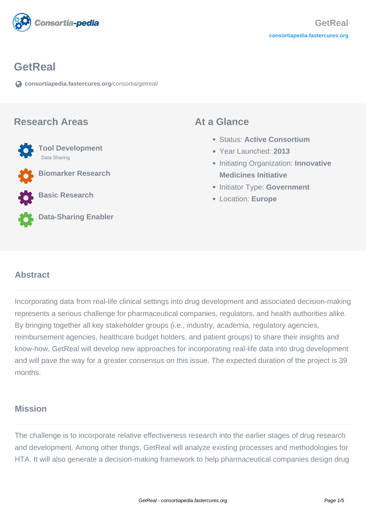

### **GetReal**

**[consortiapedia.fastercures.org](https://consortiapedia.fastercures.org/consortia/getreal/)**[/consortia/getreal/](https://consortiapedia.fastercures.org/consortia/getreal/)

#### **Research Areas**



**Biomarker Research**

**Basic Research**



**Data-Sharing Enabler**

#### **At a Glance**

- Status: **Active Consortium**
- Year Launched: **2013**
- **Initiating Organization: Innovative Medicines Initiative**
- **Initiator Type: Government**
- Location: **Europe**

#### $\overline{a}$ **Abstract**

Incorporating data from real-life clinical settings into drug development and associated decision-making represents a serious challenge for pharmaceutical companies, regulators, and health authorities alike. By bringing together all key stakeholder groups (i.e., industry, academia, regulatory agencies, reimbursement agencies, healthcare budget holders, and patient groups) to share their insights and know-how, GetReal will develop new approaches for incorporating real-life data into drug development and will pave the way for a greater consensus on this issue. The expected duration of the project is 39 months.

## **Mission**

The challenge is to incorporate relative effectiveness research into the earlier stages of drug research and development. Among other things, GetReal will analyze existing processes and methodologies for HTA. It will also generate a decision-making framework to help pharmaceutical companies design drug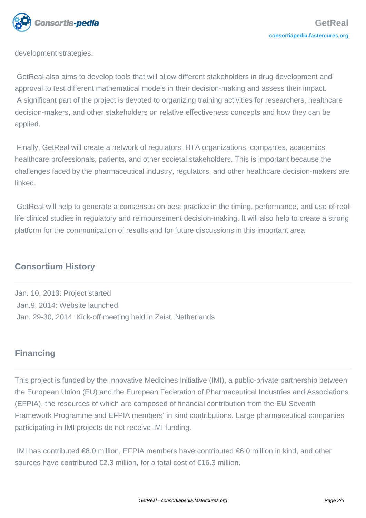

development strategies.

 GetReal also aims to develop tools that will allow different stakeholders in drug development and approval to test different mathematical models in their decision-making and assess their impact. A significant part of the project is devoted to organizing training activities for researchers, healthcare decision-makers, and other stakeholders on relative effectiveness concepts and how they can be applied.

 Finally, GetReal will create a network of regulators, HTA organizations, companies, academics, healthcare professionals, patients, and other societal stakeholders. This is important because the challenges faced by the pharmaceutical industry, regulators, and other healthcare decision-makers are **linked** 

 GetReal will help to generate a consensus on best practice in the timing, performance, and use of reallife clinical studies in regulatory and reimbursement decision-making. It will also help to create a strong platform for the communication of results and for future discussions in this important area.

# **Consortium History**

Jan. 10, 2013: Project started Jan.9, 2014: Website launched Jan. 29-30, 2014: Kick-off meeting held in Zeist, Netherlands

# **Financing**

This project is funded by the Innovative Medicines Initiative (IMI), a public-private partnership between the European Union (EU) and the European Federation of Pharmaceutical Industries and Associations (EFPIA), the resources of which are composed of financial contribution from the EU Seventh Framework Programme and EFPIA members' in kind contributions. Large pharmaceutical companies participating in IMI projects do not receive IMI funding.

 IMI has contributed €8.0 million, EFPIA members have contributed €6.0 million in kind, and other sources have contributed €2.3 million, for a total cost of €16.3 million.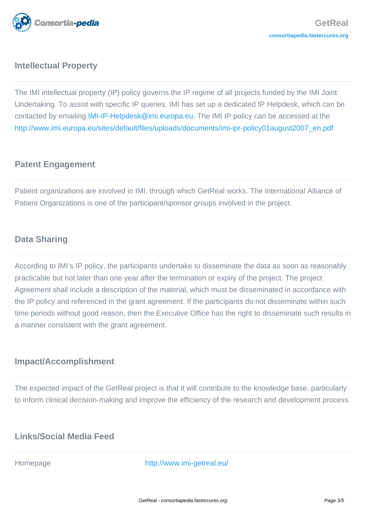

# **Intellectual Property**

The IMI intellectual property (IP) policy governs the IP regime of all projects funded by the IMI Joint Undertaking. To assist with specific IP queries, IMI has set up a dedicated IP Helpdesk, which can be contacted by emailing [IMI-IP-Helpdesk@imi.europa.eu](mailto:IMI-IP-Helpdesk@imi.europa.eu). The IMI IP policy can be accessed at the [http://www.imi.europa.eu/sites/default/files/uploads/documents/imi-ipr-policy01august2007\\_en.pdf](http://www.imi.europa.eu/sites/default/files/uploads/documents/imi-ipr-policy01august2007_en.pdf)

# **Patent Engagement**

Patient organizations are involved in IMI, through which GetReal works. The International Alliance of Patient Organizations is one of the participant/sponsor groups involved in the project.

# **Data Sharing**

According to IMI's IP policy, the participants undertake to disseminate the data as soon as reasonably practicable but not later than one year after the termination or expiry of the project. The project Agreement shall include a description of the material, which must be disseminated in accordance with the IP policy and referenced in the grant agreement. If the participants do not disseminate within such time periods without good reason, then the Executive Office has the right to disseminate such results in a manner consistent with the grant agreement.

### **Impact/Accomplishment**

The expected impact of the GetReal project is that it will contribute to the knowledge base, particularly to inform clinical decision-making and improve the efficiency of the research and development process.

## **Links/Social Media Feed**

Homepage <http://www.imi-getreal.eu/>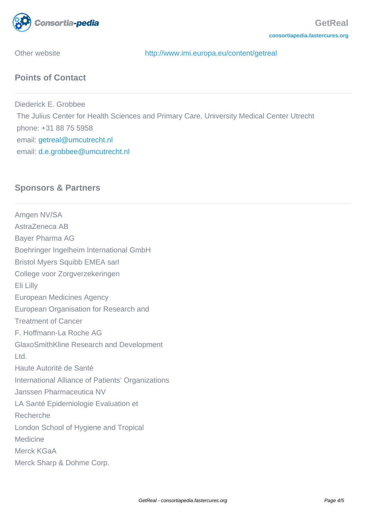

Other website <http://www.imi.europa.eu/content/getreal>

# **Points of Contact**

Diederick E. Grobbee The Julius Center for Health Sciences and Primary Care, University Medical Center Utrecht phone: +31 88 75 5958 email: [getreal@umcutrecht.nl](mailto:getreal@umcutrecht.nl) email: [d.e.grobbee@umcutrecht.nl](mailto:d.e.grobbee@umcutrecht.nl)

# **Sponsors & Partners**

Amgen NV/SA AstraZeneca AB Bayer Pharma AG Boehringer Ingelheim International GmbH Bristol Myers Squibb EMEA sarl College voor Zorgverzekeringen Eli Lilly European Medicines Agency European Organisation for Research and Treatment of Cancer F. Hoffmann-La Roche AG GlaxoSmithKline Research and Development Ltd. Haute Autorité de Santé International Alliance of Patients' Organizations Janssen Pharmaceutica NV LA Santé Epidemiologie Evaluation et Recherche London School of Hygiene and Tropical Medicine Merck KGaA Merck Sharp & Dohme Corp.